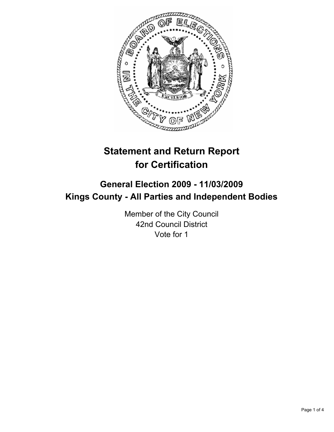

# **Statement and Return Report for Certification**

## **General Election 2009 - 11/03/2009 Kings County - All Parties and Independent Bodies**

Member of the City Council 42nd Council District Vote for 1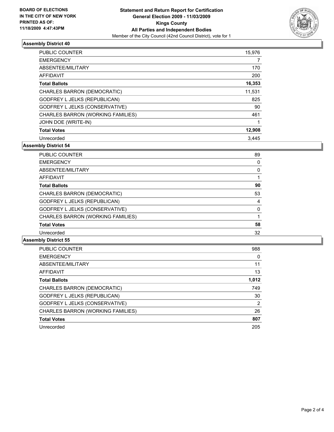

### **Assembly District 40**

| <b>PUBLIC COUNTER</b>               | 15,976 |
|-------------------------------------|--------|
| <b>EMERGENCY</b>                    | 7      |
| ABSENTEE/MILITARY                   | 170    |
| <b>AFFIDAVIT</b>                    | 200    |
| <b>Total Ballots</b>                | 16,353 |
| CHARLES BARRON (DEMOCRATIC)         | 11,531 |
| <b>GODFREY L JELKS (REPUBLICAN)</b> | 825    |
| GODFREY L JELKS (CONSERVATIVE)      | 90     |
| CHARLES BARRON (WORKING FAMILIES)   | 461    |
| JOHN DOE (WRITE-IN)                 |        |
| <b>Total Votes</b>                  | 12,908 |
| Unrecorded                          | 3.445  |

**Assembly District 54**

| <b>PUBLIC COUNTER</b>             | 89 |
|-----------------------------------|----|
| <b>EMERGENCY</b>                  | 0  |
| ABSENTEE/MILITARY                 | 0  |
| AFFIDAVIT                         | 1  |
| <b>Total Ballots</b>              | 90 |
| CHARLES BARRON (DEMOCRATIC)       | 53 |
| GODFREY L JELKS (REPUBLICAN)      | 4  |
| GODFREY L JELKS (CONSERVATIVE)    | 0  |
| CHARLES BARRON (WORKING FAMILIES) |    |
| <b>Total Votes</b>                | 58 |
| Unrecorded                        | 32 |

### **Assembly District 55**

| <b>PUBLIC COUNTER</b>               | 988   |
|-------------------------------------|-------|
| <b>EMERGENCY</b>                    | 0     |
| ABSENTEE/MILITARY                   | 11    |
| <b>AFFIDAVIT</b>                    | 13    |
| <b>Total Ballots</b>                | 1,012 |
| CHARLES BARRON (DEMOCRATIC)         | 749   |
| <b>GODFREY L JELKS (REPUBLICAN)</b> | 30    |
| GODFREY L JELKS (CONSERVATIVE)      | 2     |
| CHARLES BARRON (WORKING FAMILIES)   | 26    |
| <b>Total Votes</b>                  | 807   |
| Unrecorded                          | 205   |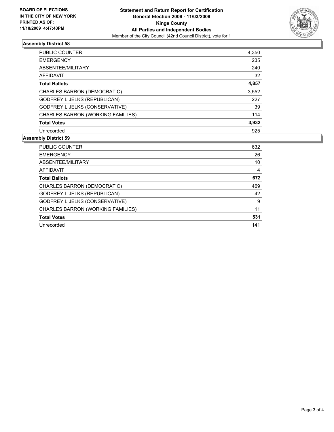

### **Assembly District 58**

| <b>PUBLIC COUNTER</b>             | 4,350 |
|-----------------------------------|-------|
| <b>EMERGENCY</b>                  | 235   |
| ABSENTEE/MILITARY                 | 240   |
| AFFIDAVIT                         | 32    |
| <b>Total Ballots</b>              | 4,857 |
| CHARLES BARRON (DEMOCRATIC)       | 3,552 |
| GODFREY L JELKS (REPUBLICAN)      | 227   |
| GODFREY L JELKS (CONSERVATIVE)    | 39    |
| CHARLES BARRON (WORKING FAMILIES) | 114   |
| <b>Total Votes</b>                | 3,932 |
| Unrecorded                        | 925   |
|                                   |       |

### **Assembly District 59**

| <b>PUBLIC COUNTER</b>               | 632 |
|-------------------------------------|-----|
| <b>EMERGENCY</b>                    | 26  |
| ABSENTEE/MILITARY                   | 10  |
| <b>AFFIDAVIT</b>                    | 4   |
| <b>Total Ballots</b>                | 672 |
| CHARLES BARRON (DEMOCRATIC)         | 469 |
| <b>GODFREY L JELKS (REPUBLICAN)</b> | 42  |
| GODFREY L JELKS (CONSERVATIVE)      | 9   |
| CHARLES BARRON (WORKING FAMILIES)   | 11  |
| <b>Total Votes</b>                  | 531 |
| Unrecorded                          | 141 |